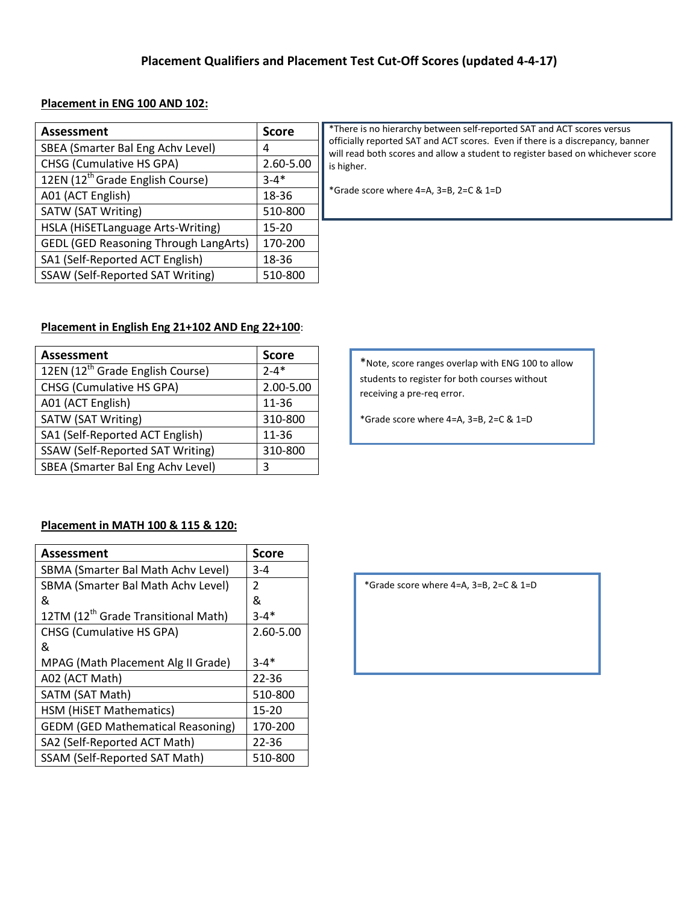### **Placement in ENG 100 AND 102:**

| <b>Assessment</b>                            | <b>Score</b> | *There is no hierarchy between self-reported SAT and ACT scores versus                                                                                           |
|----------------------------------------------|--------------|------------------------------------------------------------------------------------------------------------------------------------------------------------------|
| SBEA (Smarter Bal Eng Achy Level)            | 4            | officially reported SAT and ACT scores. Even if there is a discrepancy, banner<br>will read both scores and allow a student to register based on whichever score |
| CHSG (Cumulative HS GPA)                     | 2.60-5.00    | is higher.                                                                                                                                                       |
| 12EN (12 <sup>th</sup> Grade English Course) | $3 - 4*$     |                                                                                                                                                                  |
| A01 (ACT English)                            | 18-36        | *Grade score where $4=A$ , $3=B$ , $2=C & 1=D$                                                                                                                   |
| SATW (SAT Writing)                           | 510-800      |                                                                                                                                                                  |
| HSLA (HiSETLanguage Arts-Writing)            | $15 - 20$    |                                                                                                                                                                  |
| <b>GEDL (GED Reasoning Through LangArts)</b> | 170-200      |                                                                                                                                                                  |
| SA1 (Self-Reported ACT English)              | 18-36        |                                                                                                                                                                  |
| SSAW (Self-Reported SAT Writing)             | 510-800      |                                                                                                                                                                  |

### **Placement in English Eng 21+102 AND Eng 22+100**:

| <b>Assessment</b>                            | <b>Score</b> |
|----------------------------------------------|--------------|
| 12EN (12 <sup>th</sup> Grade English Course) | $2 - 4*$     |
| <b>CHSG (Cumulative HS GPA)</b>              | 2.00-5.00    |
| A01 (ACT English)                            | 11-36        |
| SATW (SAT Writing)                           | 310-800      |
| SA1 (Self-Reported ACT English)              | 11-36        |
| <b>SSAW (Self-Reported SAT Writing)</b>      | 310-800      |
| SBEA (Smarter Bal Eng Achv Level)            | ς            |

\*Note, score ranges overlap with ENG 100 to allow students to register for both courses without receiving a pre-req error.

\*Grade score where 4=A, 3=B, 2=C & 1=D

#### **Placement in MATH 100 & 115 & 120:**

| Assessment                                      | <b>Score</b> |
|-------------------------------------------------|--------------|
| SBMA (Smarter Bal Math Achv Level)              | $3 - 4$      |
| SBMA (Smarter Bal Math Achy Level)              | 2            |
| &                                               | &            |
| 12TM (12 <sup>th</sup> Grade Transitional Math) | $3 - 4*$     |
| <b>CHSG (Cumulative HS GPA)</b>                 | 2.60-5.00    |
| &                                               |              |
| MPAG (Math Placement Alg II Grade)              | $3 - 4*$     |
| A02 (ACT Math)                                  | $22 - 36$    |
| SATM (SAT Math)                                 | 510-800      |
| HSM (HiSET Mathematics)                         | $15 - 20$    |
| <b>GEDM (GED Mathematical Reasoning)</b>        | 170-200      |
| SA2 (Self-Reported ACT Math)                    | $22 - 36$    |
| <b>SSAM (Self-Reported SAT Math)</b>            | 510-800      |

\*Grade score where 4=A, 3=B, 2=C & 1=D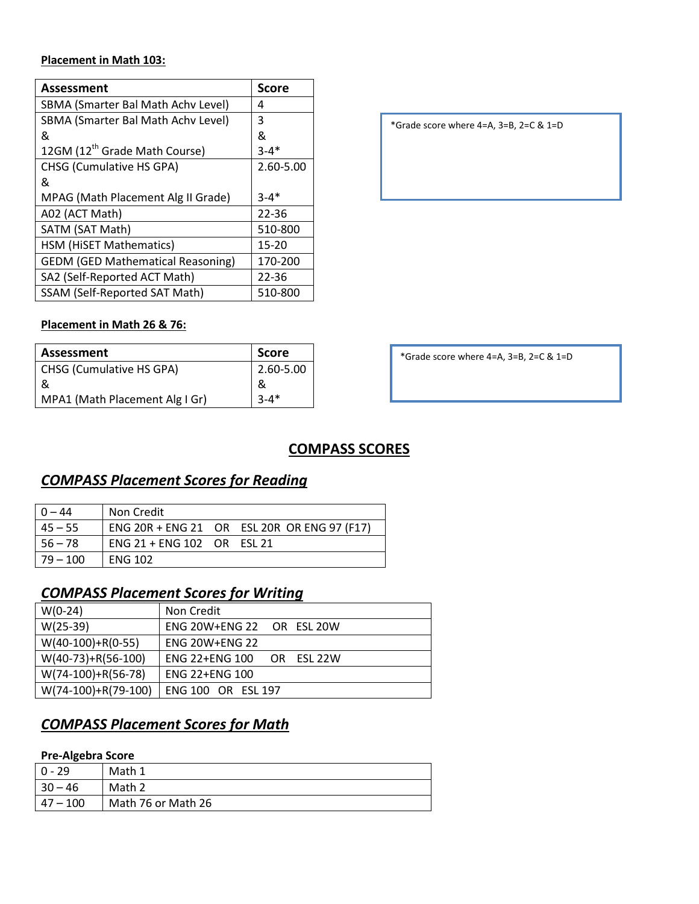### **Placement in Math 103:**

| Assessment                                | <b>Score</b> |
|-------------------------------------------|--------------|
| SBMA (Smarter Bal Math Achv Level)        | 4            |
| SBMA (Smarter Bal Math Achy Level)        | 3            |
| &                                         | &            |
| 12GM (12 <sup>th</sup> Grade Math Course) | $3 - 4*$     |
| <b>CHSG (Cumulative HS GPA)</b>           | 2.60-5.00    |
| &                                         |              |
| MPAG (Math Placement Alg II Grade)        | $3 - 4*$     |
| A02 (ACT Math)                            | $22 - 36$    |
| SATM (SAT Math)                           | 510-800      |
| HSM (HiSET Mathematics)                   | $15 - 20$    |
| <b>GEDM (GED Mathematical Reasoning)</b>  | 170-200      |
| SA2 (Self-Reported ACT Math)              | $22 - 36$    |
| <b>SSAM (Self-Reported SAT Math)</b>      | 510-800      |

\*Grade score where 4=A, 3=B, 2=C & 1=D

### **Placement in Math 26 & 76:**

| Assessment                      | <b>Score</b> |
|---------------------------------|--------------|
| <b>CHSG (Cumulative HS GPA)</b> | 2.60-5.00    |
| &                               | &            |
| MPA1 (Math Placement Alg I Gr)  | $3 - 4*$     |

\*Grade score where 4=A, 3=B, 2=C & 1=D

## **COMPASS SCORES**

# *COMPASS Placement Scores for Reading*

| $0 - 44$   | Non Credit                 |                                             |
|------------|----------------------------|---------------------------------------------|
| $45 - 55$  |                            | ENG 20R + ENG 21 OR ESL 20R OR ENG 97 (F17) |
| $56 - 78$  | ENG 21 + ENG 102 OR ESL 21 |                                             |
| $79 - 100$ | <b>ENG 102</b>             |                                             |

# *COMPASS Placement Scores for Writing*

| $W(0-24)$            | Non Credit                                    |
|----------------------|-----------------------------------------------|
| $W(25-39)$           | ENG 20W+ENG 22 OR ESL 20W                     |
| $W(40-100)+R(0-55)$  | <b>ENG 20W+ENG 22</b>                         |
| $W(40-73)+R(56-100)$ | <b>ENG 22+ENG 100</b><br>FSL 22W<br><b>OR</b> |
| $W(74-100)+R(56-78)$ | <b>ENG 22+ENG 100</b>                         |
| W(74-100)+R(79-100)  | <b>ENG 100 OR ESL 197</b>                     |

# *COMPASS Placement Scores for Math*

### **Pre-Algebra Score**

| . .         |                    |
|-------------|--------------------|
| 0 - 29      | Math 1             |
| $30 - 46$   | Math 2             |
| $ 47 - 100$ | Math 76 or Math 26 |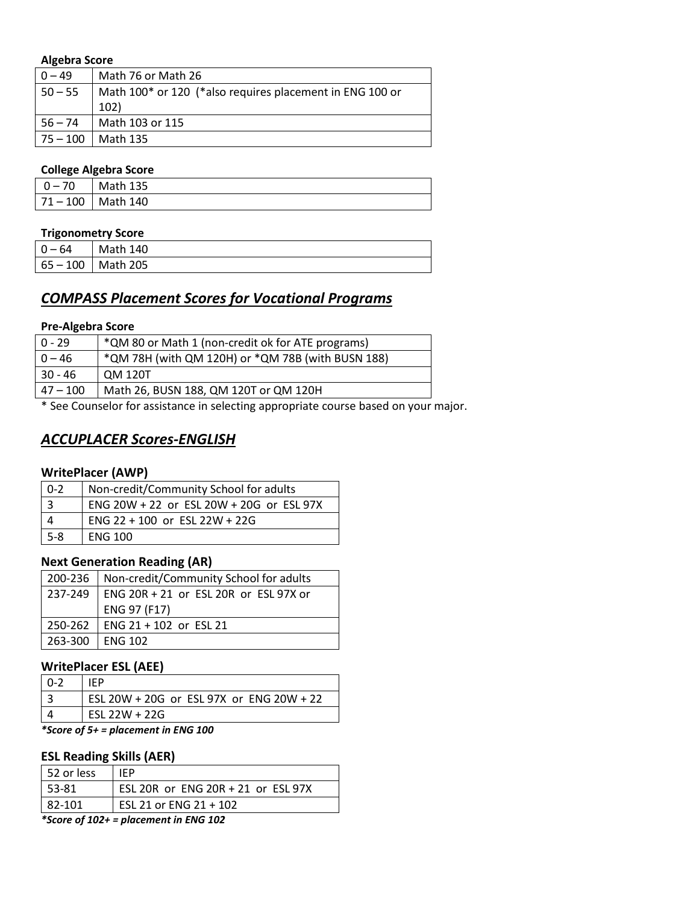#### **Algebra Score**

| $0 - 49$     | Math 76 or Math 26                                       |
|--------------|----------------------------------------------------------|
| $50 - 55$    | Math 100* or 120 (*also requires placement in ENG 100 or |
|              | <b>102)</b>                                              |
| $56 - 74$    | Math 103 or 115                                          |
| $ 75 - 100 $ | Math 135                                                 |

#### **College Algebra Score**

| . .      | .                     |
|----------|-----------------------|
| $0 - 70$ | Math 135              |
|          | $71 - 100$   Math 140 |

### **Trigonometry Score**

| $0 - 64$ | Math 140              |
|----------|-----------------------|
|          | $65 - 100$   Math 205 |

# *COMPASS Placement Scores for Vocational Programs*

#### **Pre-Algebra Score**

| $0 - 29$   | *QM 80 or Math 1 (non-credit ok for ATE programs) |
|------------|---------------------------------------------------|
| $0 - 46$   | *QM 78H (with QM 120H) or *QM 78B (with BUSN 188) |
| 30 - 46    | QM 120T                                           |
| $47 - 100$ | Math 26, BUSN 188, QM 120T or QM 120H             |
|            |                                                   |

\* See Counselor for assistance in selecting appropriate course based on your major.

## *ACCUPLACER Scores-ENGLISH*

### **WritePlacer (AWP)**

| $0 - 2$ | Non-credit/Community School for adults   |
|---------|------------------------------------------|
|         | ENG 20W + 22 or ESL 20W + 20G or ESL 97X |
|         | ENG 22 + 100 or ESL 22W + 22G            |
| $5-8$   | <b>FNG 100</b>                           |

### **Next Generation Reading (AR)**

| 200-236 | Non-credit/Community School for adults          |
|---------|-------------------------------------------------|
|         | 237-249   ENG 20R + 21 or ESL 20R or ESL 97X or |
|         | ENG 97 (F17)                                    |
|         | 250-262   ENG 21 + 102 or ESL 21                |
| 263-300 | <b>LENG 102</b>                                 |

### **WritePlacer ESL (AEE)**

| IFP.                                     |
|------------------------------------------|
| ESL 20W + 20G or ESL 97X or ENG 20W + 22 |
| $FSL 22W + 22G$                          |

*\*Score of 5+ = placement in ENG 100*

### **ESL Reading Skills (AER)**

| 1 52 or less | IFP.                               |
|--------------|------------------------------------|
| l 53-81      | ESL 20R or ENG 20R + 21 or ESL 97X |
| 82-101       | ESL 21 or ENG 21 + 102             |
| $\mathbf{a}$ |                                    |

*\*Score of 102+ = placement in ENG 102*